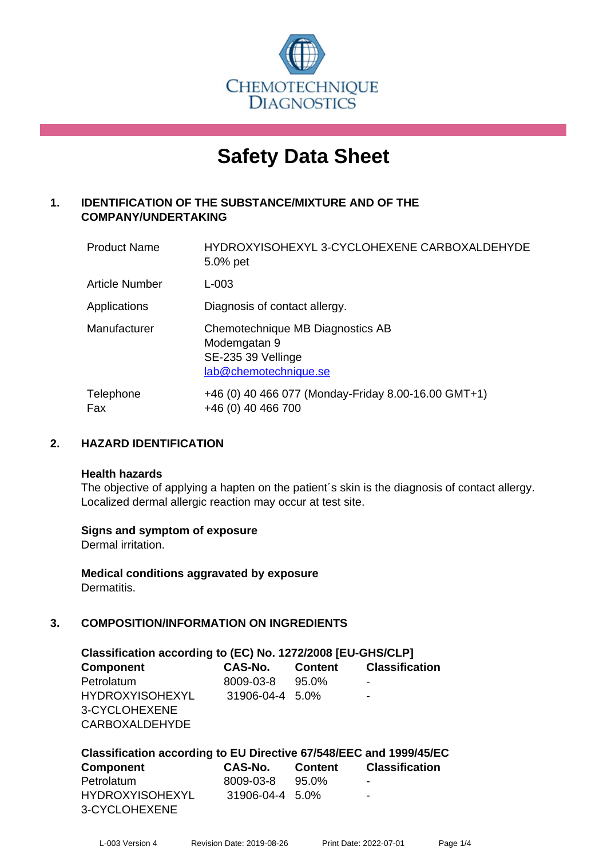

# **Safety Data Sheet**

# **1. IDENTIFICATION OF THE SUBSTANCE/MIXTURE AND OF THE COMPANY/UNDERTAKING**

| <b>Product Name</b>   | HYDROXYISOHEXYL 3-CYCLOHEXENE CARBOXALDEHYDE<br>5.0% pet                                        |
|-----------------------|-------------------------------------------------------------------------------------------------|
| <b>Article Number</b> | $L - 003$                                                                                       |
| Applications          | Diagnosis of contact allergy.                                                                   |
| Manufacturer          | Chemotechnique MB Diagnostics AB<br>Modemgatan 9<br>SE-235 39 Vellinge<br>lab@chemotechnique.se |
| Telephone<br>Fax      | +46 (0) 40 466 077 (Monday-Friday 8.00-16.00 GMT+1)<br>+46 (0) 40 466 700                       |

# **2. HAZARD IDENTIFICATION**

#### **Health hazards**

The objective of applying a hapten on the patient's skin is the diagnosis of contact allergy. Localized dermal allergic reaction may occur at test site.

# **Signs and symptom of exposure**

Dermal irritation.

**Medical conditions aggravated by exposure** Dermatitis.

# **3. COMPOSITION/INFORMATION ON INGREDIENTS**

| Classification according to (EC) No. 1272/2008 [EU-GHS/CLP] |                        |          |                       |  |  |
|-------------------------------------------------------------|------------------------|----------|-----------------------|--|--|
| <b>Component</b>                                            | <b>CAS-No.</b> Content |          | <b>Classification</b> |  |  |
| Petrolatum                                                  | 8009-03-8              | $95.0\%$ | ۰                     |  |  |
| <b>HYDROXYISOHEXYL</b>                                      | 31906-04-4 5.0%        |          | -                     |  |  |
| 3-CYCLOHEXENE                                               |                        |          |                       |  |  |
| <b>CARBOXALDEHYDE</b>                                       |                        |          |                       |  |  |

| Classification according to EU Directive 67/548/EEC and 1999/45/EC |                 |         |                          |  |  |
|--------------------------------------------------------------------|-----------------|---------|--------------------------|--|--|
| <b>Component</b>                                                   | CAS-No.         | Content | <b>Classification</b>    |  |  |
| Petrolatum                                                         | 8009-03-8       | 95.0%   | $\overline{\phantom{a}}$ |  |  |
| <b>HYDROXYISOHEXYL</b>                                             | 31906-04-4 5.0% |         | -                        |  |  |
| 3-CYCLOHEXENE                                                      |                 |         |                          |  |  |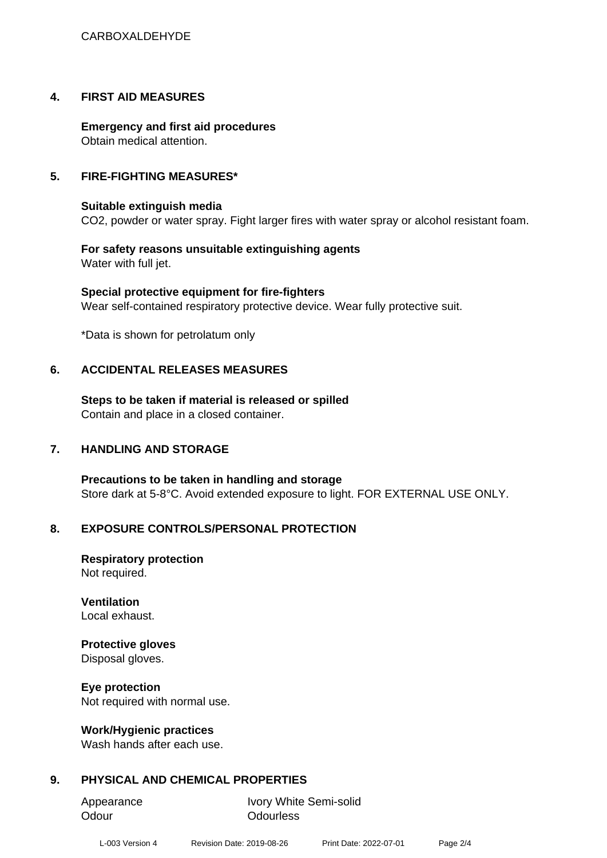# **4. FIRST AID MEASURES**

**Emergency and first aid procedures** Obtain medical attention.

# **5. FIRE-FIGHTING MEASURES\***

# **Suitable extinguish media**

CO2, powder or water spray. Fight larger fires with water spray or alcohol resistant foam.

**For safety reasons unsuitable extinguishing agents** Water with full jet.

**Special protective equipment for fire-fighters** Wear self-contained respiratory protective device. Wear fully protective suit.

\*Data is shown for petrolatum only

# **6. ACCIDENTAL RELEASES MEASURES**

**Steps to be taken if material is released or spilled** Contain and place in a closed container.

# **7. HANDLING AND STORAGE**

**Precautions to be taken in handling and storage** Store dark at 5-8°C. Avoid extended exposure to light. FOR EXTERNAL USE ONLY.

# **8. EXPOSURE CONTROLS/PERSONAL PROTECTION**

**Respiratory protection** Not required.

**Ventilation** Local exhaust.

# **Protective gloves**

Disposal gloves.

**Eye protection**

Not required with normal use.

# **Work/Hygienic practices**

Wash hands after each use.

# **9. PHYSICAL AND CHEMICAL PROPERTIES**

Odour **Odourless** 

Appearance Ivory White Semi-solid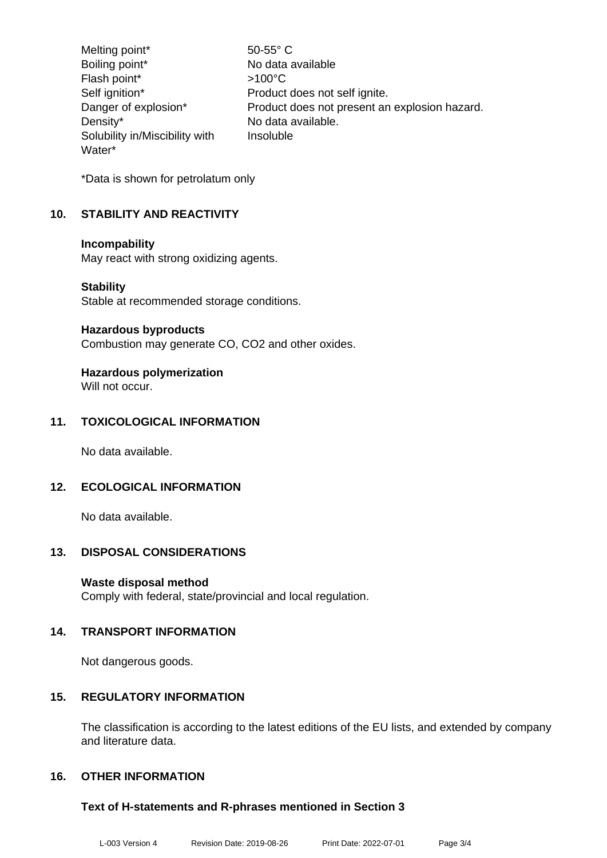Melting point\* 50-55° C Boiling point\* No data available Flash point\* >100°C Self ignition\* Product does not self ignite. Danger of explosion\* Product does not present an explosion hazard. Density\* No data available. Solubility in/Miscibility with Water\* Insoluble

\*Data is shown for petrolatum only

# **10. STABILITY AND REACTIVITY**

#### **Incompability**

May react with strong oxidizing agents.

#### **Stability**

Stable at recommended storage conditions.

#### **Hazardous byproducts**

Combustion may generate CO, CO2 and other oxides.

# **Hazardous polymerization**

Will not occur.

# **11. TOXICOLOGICAL INFORMATION**

No data available.

# **12. ECOLOGICAL INFORMATION**

No data available.

# **13. DISPOSAL CONSIDERATIONS**

# **Waste disposal method**

Comply with federal, state/provincial and local regulation.

# **14. TRANSPORT INFORMATION**

Not dangerous goods.

# **15. REGULATORY INFORMATION**

The classification is according to the latest editions of the EU lists, and extended by company and literature data.

# **16. OTHER INFORMATION**

# **Text of H-statements and R-phrases mentioned in Section 3**